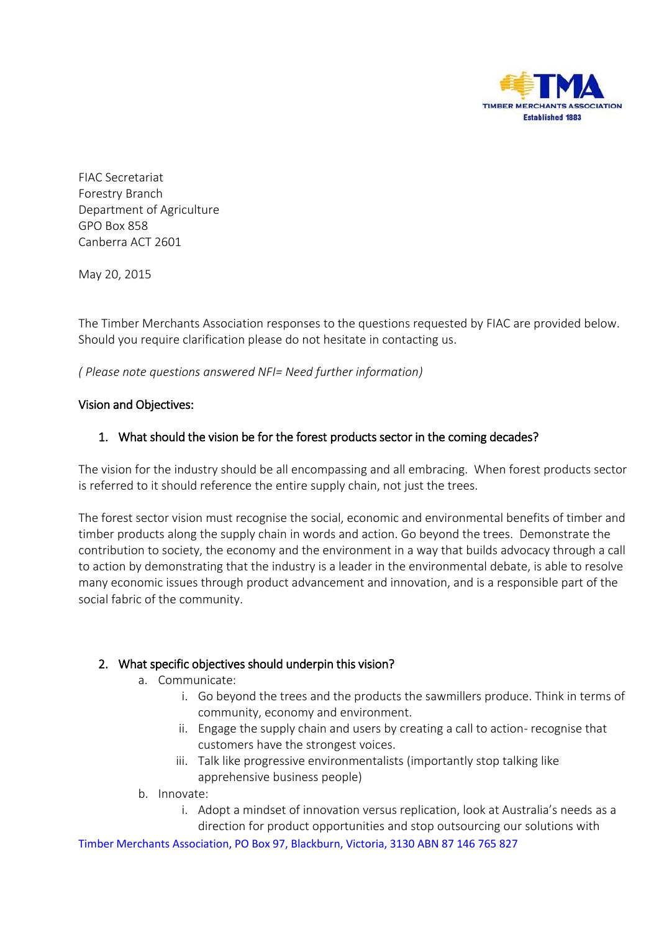

FIAC Secretariat Forestry Branch Department of Agriculture GPO Box 858 Canberra ACT 2601

May 20, 2015

The Timber Merchants Association responses to the questions requested by FIAC are provided below. Should you require clarification please do not hesitate in contacting us.

*( Please note questions answered NFI= Need further information)* 

#### Vision and Objectives:

## 1. What should the vision be for the forest products sector in the coming decades?

The vision for the industry should be all encompassing and all embracing. When forest products sector is referred to it should reference the entire supply chain, not just the trees.

The forest sector vision must recognise the social, economic and environmental benefits of timber and timber products along the supply chain in words and action. Go beyond the trees. Demonstrate the contribution to society, the economy and the environment in a way that builds advocacy through a call to action by demonstrating that the industry is a leader in the environmental debate, is able to resolve many economic issues through product advancement and innovation, and is a responsible part of the social fabric of the community.

## 2. What specific objectives should underpin this vision?

- a. Communicate:
	- i. Go beyond the trees and the products the sawmillers produce. Think in terms of community, economy and environment.
	- ii. Engage the supply chain and users by creating a call to action- recognise that customers have the strongest voices.
	- iii. Talk like progressive environmentalists (importantly stop talking like apprehensive business people)
- b. Innovate:
	- i. Adopt a mindset of innovation versus replication, look at Australia's needs as a

Timber Merchants Association, PO Box 97, Blackburn, Victoria, 3130 ABN 87 146 765 827 direction for product opportunities and stop outsourcing our solutions with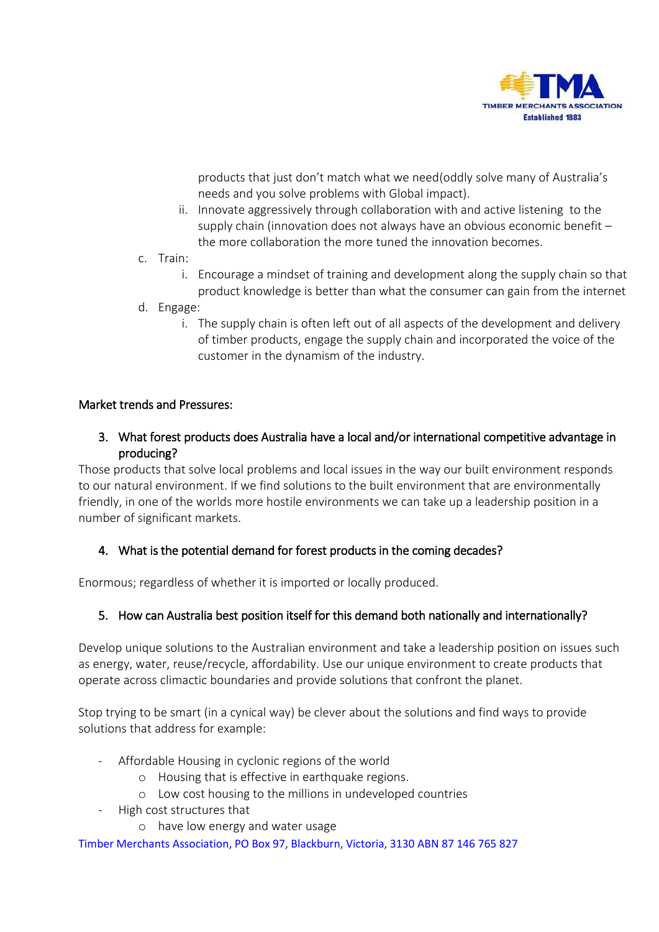

products that just don't match what we need(oddly solve many of Australia's needs and you solve problems with Global impact).

- ii. Innovate aggressively through collaboration with and active listening to the supply chain (innovation does not always have an obvious economic benefit – the more collaboration the more tuned the innovation becomes.
- c. Train:
	- i. Encourage a mindset of training and development along the supply chain so that product knowledge is better than what the consumer can gain from the internet
- d. Engage:
	- i. The supply chain is often left out of all aspects of the development and delivery of timber products, engage the supply chain and incorporated the voice of the customer in the dynamism of the industry.

#### Market trends and Pressures:

3. What forest products does Australia have a local and/or international competitive advantage in producing?

Those products that solve local problems and local issues in the way our built environment responds to our natural environment. If we find solutions to the built environment that are environmentally friendly, in one of the worlds more hostile environments we can take up a leadership position in a number of significant markets.

## 4. What is the potential demand for forest products in the coming decades?

Enormous; regardless of whether it is imported or locally produced.

## 5. How can Australia best position itself for this demand both nationally and internationally?

Develop unique solutions to the Australian environment and take a leadership position on issues such as energy, water, reuse/recycle, affordability. Use our unique environment to create products that operate across climactic boundaries and provide solutions that confront the planet.

Stop trying to be smart (in a cynical way) be clever about the solutions and find ways to provide solutions that address for example:

- Affordable Housing in cyclonic regions of the world
	- o Housing that is effective in earthquake regions.
	- o Low cost housing to the millions in undeveloped countries
- High cost structures that
	- o have low energy and water usage

Timber Merchants Association, PO Box 97, Blackburn, Victoria, 3130 ABN 87 146 765 827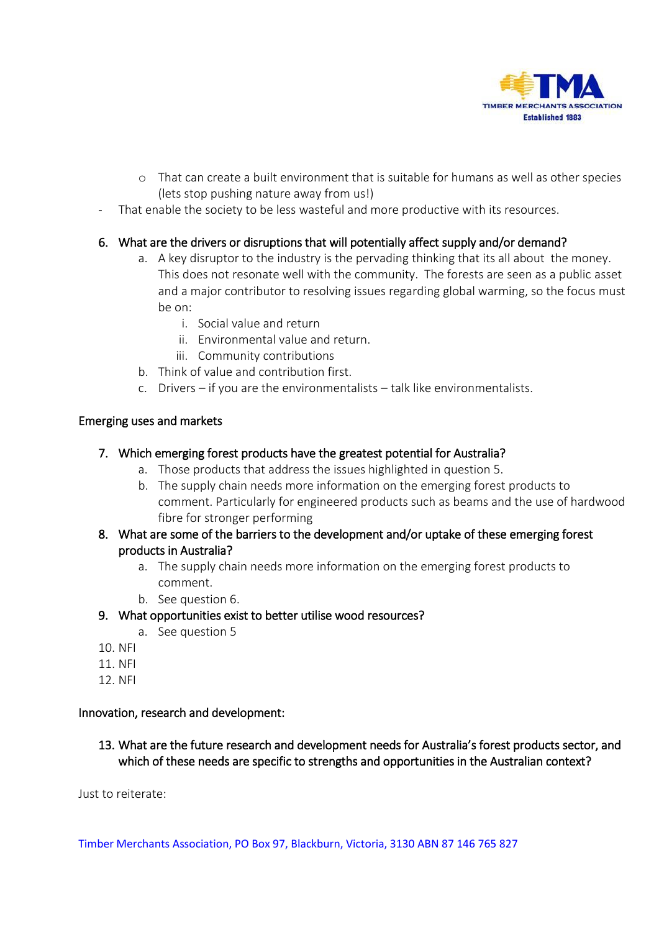

- o That can create a built environment that is suitable for humans as well as other species (lets stop pushing nature away from us!)
- That enable the society to be less wasteful and more productive with its resources.

# 6. What are the drivers or disruptions that will potentially affect supply and/or demand?

- a. A key disruptor to the industry is the pervading thinking that its all about the money. This does not resonate well with the community. The forests are seen as a public asset and a major contributor to resolving issues regarding global warming, so the focus must be on:
	- i. Social value and return
	- ii. Environmental value and return.
	- iii. Community contributions
- b. Think of value and contribution first.
- c. Drivers if you are the environmentalists talk like environmentalists.

#### Emerging uses and markets

#### 7. Which emerging forest products have the greatest potential for Australia?

- a. Those products that address the issues highlighted in question 5.
- b. The supply chain needs more information on the emerging forest products to comment. Particularly for engineered products such as beams and the use of hardwood fibre for stronger performing

## 8. What are some of the barriers to the development and/or uptake of these emerging forest products in Australia?

- a. The supply chain needs more information on the emerging forest products to comment.
- b. See question 6.

## 9. What opportunities exist to better utilise wood resources?

- a. See question 5
- 10. NFI
- 11. NFI
- 12. NFI

#### Innovation, research and development:

13. What are the future research and development needs for Australia's forest products sector, and which of these needs are specific to strengths and opportunities in the Australian context?

Just to reiterate:

Timber Merchants Association, PO Box 97, Blackburn, Victoria, 3130 ABN 87 146 765 827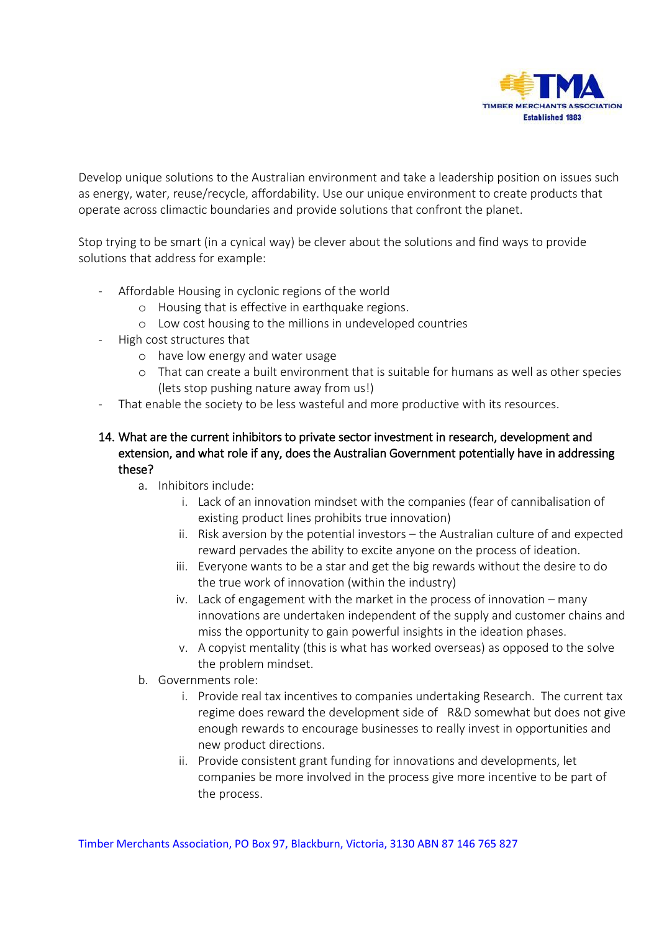

Develop unique solutions to the Australian environment and take a leadership position on issues such as energy, water, reuse/recycle, affordability. Use our unique environment to create products that operate across climactic boundaries and provide solutions that confront the planet.

Stop trying to be smart (in a cynical way) be clever about the solutions and find ways to provide solutions that address for example:

- Affordable Housing in cyclonic regions of the world
	- o Housing that is effective in earthquake regions.
	- o Low cost housing to the millions in undeveloped countries
- High cost structures that
	- o have low energy and water usage
	- o That can create a built environment that is suitable for humans as well as other species (lets stop pushing nature away from us!)
- That enable the society to be less wasteful and more productive with its resources.

# 14. What are the current inhibitors to private sector investment in research, development and extension, and what role if any, does the Australian Government potentially have in addressing these?

- a. Inhibitors include:
	- i. Lack of an innovation mindset with the companies (fear of cannibalisation of existing product lines prohibits true innovation)
	- ii. Risk aversion by the potential investors the Australian culture of and expected reward pervades the ability to excite anyone on the process of ideation.
	- iii. Everyone wants to be a star and get the big rewards without the desire to do the true work of innovation (within the industry)
	- iv. Lack of engagement with the market in the process of innovation many innovations are undertaken independent of the supply and customer chains and miss the opportunity to gain powerful insights in the ideation phases.
	- v. A copyist mentality (this is what has worked overseas) as opposed to the solve the problem mindset.
- b. Governments role:
	- i. Provide real tax incentives to companies undertaking Research. The current tax regime does reward the development side of R&D somewhat but does not give enough rewards to encourage businesses to really invest in opportunities and new product directions.
	- ii. Provide consistent grant funding for innovations and developments, let companies be more involved in the process give more incentive to be part of the process.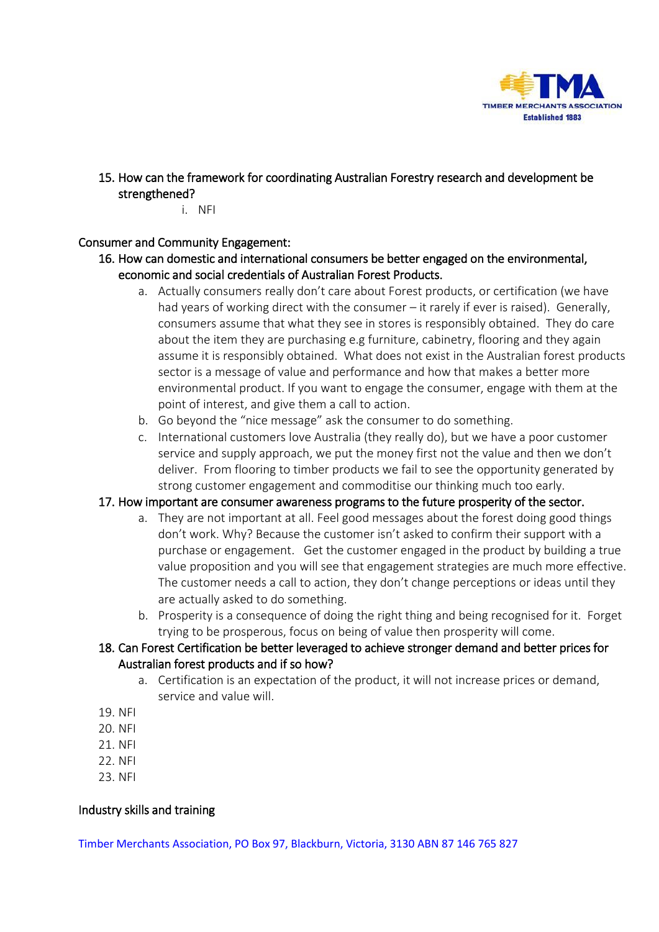

- 15. How can the framework for coordinating Australian Forestry research and development be strengthened?
	- i. NFI

#### Consumer and Community Engagement:

- 16. How can domestic and international consumers be better engaged on the environmental, economic and social credentials of Australian Forest Products.
	- a. Actually consumers really don't care about Forest products, or certification (we have had years of working direct with the consumer – it rarely if ever is raised). Generally, consumers assume that what they see in stores is responsibly obtained. They do care about the item they are purchasing e.g furniture, cabinetry, flooring and they again assume it is responsibly obtained. What does not exist in the Australian forest products sector is a message of value and performance and how that makes a better more environmental product. If you want to engage the consumer, engage with them at the point of interest, and give them a call to action.
	- b. Go beyond the "nice message" ask the consumer to do something.
	- c. International customers love Australia (they really do), but we have a poor customer service and supply approach, we put the money first not the value and then we don't deliver. From flooring to timber products we fail to see the opportunity generated by strong customer engagement and commoditise our thinking much too early.

#### 17. How important are consumer awareness programs to the future prosperity of the sector.

- a. They are not important at all. Feel good messages about the forest doing good things don't work. Why? Because the customer isn't asked to confirm their support with a purchase or engagement. Get the customer engaged in the product by building a true value proposition and you will see that engagement strategies are much more effective. The customer needs a call to action, they don't change perceptions or ideas until they are actually asked to do something.
- b. Prosperity is a consequence of doing the right thing and being recognised for it. Forget trying to be prosperous, focus on being of value then prosperity will come.
- 18. Can Forest Certification be better leveraged to achieve stronger demand and better prices for Australian forest products and if so how?
	- a. Certification is an expectation of the product, it will not increase prices or demand, service and value will.
- 19. NFI
- 20. NFI
- 21. NFI
- 22. NFI
- 23. NFI

## Industry skills and training

Timber Merchants Association, PO Box 97, Blackburn, Victoria, 3130 ABN 87 146 765 827